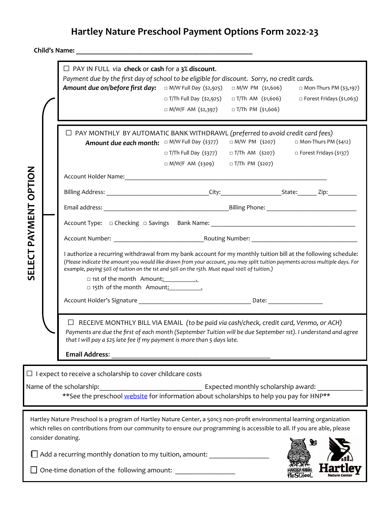## **Hartley Nature Preschool Payment Options Form 2022-23**

**Child's Name: \_\_\_\_\_\_\_\_\_\_\_\_\_\_\_\_\_\_\_\_\_\_\_\_\_\_\_\_\_\_\_\_\_\_\_\_\_\_\_\_\_\_\_\_\_\_\_\_\_\_**

|                                                                                                                                                                                                                                   |  | $\Box$ PAY IN FULL via check or cash for a 3% discount.<br>Payment due by the first day of school to be eligible for discount. Sorry, no credit cards.<br>□ M/W Full Day (\$2,925)<br>Amount due on/before first day:<br>□ M/W PM (\$1,606)<br>$\Box$ Mon-Thurs PM (\$3,197)                                                                                                                                                                            |                              |                          |                                            |  |  |  |  |
|-----------------------------------------------------------------------------------------------------------------------------------------------------------------------------------------------------------------------------------|--|---------------------------------------------------------------------------------------------------------------------------------------------------------------------------------------------------------------------------------------------------------------------------------------------------------------------------------------------------------------------------------------------------------------------------------------------------------|------------------------------|--------------------------|--------------------------------------------|--|--|--|--|
|                                                                                                                                                                                                                                   |  |                                                                                                                                                                                                                                                                                                                                                                                                                                                         | □ T/Th Full Day (\$2,925)    | □ T/Th AM(\$1,606)       | □ Forest Fridays (\$1,063)                 |  |  |  |  |
|                                                                                                                                                                                                                                   |  |                                                                                                                                                                                                                                                                                                                                                                                                                                                         | □ M/W/F AM (\$2,397)         | $\Box$ T/Th PM (\$1,606) |                                            |  |  |  |  |
| OPTION<br>PAYMENT                                                                                                                                                                                                                 |  |                                                                                                                                                                                                                                                                                                                                                                                                                                                         |                              |                          |                                            |  |  |  |  |
|                                                                                                                                                                                                                                   |  | $\Box$ PAY MONTHLY BY AUTOMATIC BANK WITHDRAWL (preferred to avoid credit card fees)<br>□ Mon-Thurs PM (\$412)<br>$\Box$ M/W PM (\$207)                                                                                                                                                                                                                                                                                                                 |                              |                          |                                            |  |  |  |  |
|                                                                                                                                                                                                                                   |  |                                                                                                                                                                                                                                                                                                                                                                                                                                                         | $\Box$ T/Th Full Day (\$377) |                          | □ T/Th AM (\$207) □ Forest Fridays (\$137) |  |  |  |  |
|                                                                                                                                                                                                                                   |  |                                                                                                                                                                                                                                                                                                                                                                                                                                                         | □ M/W/F AM (\$309)           | □ T/Th PM (\$207)        |                                            |  |  |  |  |
|                                                                                                                                                                                                                                   |  | Account Holder Name: 1988 Manual Manual Manual Manual Manual Manual Manual Manual Manual Manual Manual Manual                                                                                                                                                                                                                                                                                                                                           |                              |                          |                                            |  |  |  |  |
|                                                                                                                                                                                                                                   |  |                                                                                                                                                                                                                                                                                                                                                                                                                                                         |                              |                          |                                            |  |  |  |  |
|                                                                                                                                                                                                                                   |  |                                                                                                                                                                                                                                                                                                                                                                                                                                                         |                              |                          |                                            |  |  |  |  |
|                                                                                                                                                                                                                                   |  |                                                                                                                                                                                                                                                                                                                                                                                                                                                         |                              |                          |                                            |  |  |  |  |
|                                                                                                                                                                                                                                   |  |                                                                                                                                                                                                                                                                                                                                                                                                                                                         |                              |                          |                                            |  |  |  |  |
| SELECT                                                                                                                                                                                                                            |  | I authorize a recurring withdrawal from my bank account for my monthly tuition bill at the following schedule:<br>(Please indicate the amount you would like drawn from your account, you may split tuition payments across multiple days. For<br>example, paying 50% of tuition on the 1st and 50% on the 15th. Must equal 100% of tuition.)<br>□ 1st of the month Amount: <u>___________</u><br>□ 15th of the month Amount: 15th of the month Amount: |                              |                          |                                            |  |  |  |  |
|                                                                                                                                                                                                                                   |  |                                                                                                                                                                                                                                                                                                                                                                                                                                                         |                              |                          |                                            |  |  |  |  |
|                                                                                                                                                                                                                                   |  | $\Box$ RECEIVE MONTHLY BILL VIA EMAIL (to be paid via cash/check, credit card, Venmo, or ACH)<br>Payments are due the first of each month (September Tuition will be due September 1st). I understand and agree                                                                                                                                                                                                                                         |                              |                          |                                            |  |  |  |  |
|                                                                                                                                                                                                                                   |  |                                                                                                                                                                                                                                                                                                                                                                                                                                                         |                              |                          |                                            |  |  |  |  |
| $\Box$ I expect to receive a scholarship to cover childcare costs<br>Name of the scholarship:<br>Expected monthly scholarship award:<br>** See the preschool website for information about scholarships to help you pay for HNP** |  |                                                                                                                                                                                                                                                                                                                                                                                                                                                         |                              |                          |                                            |  |  |  |  |
|                                                                                                                                                                                                                                   |  | Hartley Nature Preschool is a program of Hartley Nature Center, a 501c3 non-profit environmental learning organization<br>which relies on contributions from our community to ensure our programming is accessible to all. If you are able, please<br>consider donating.                                                                                                                                                                                |                              |                          | Y                                          |  |  |  |  |
| $\Box$ Add a recurring monthly donation to my tuition, amount:                                                                                                                                                                    |  |                                                                                                                                                                                                                                                                                                                                                                                                                                                         |                              |                          |                                            |  |  |  |  |
| One-time donation of the following amount:                                                                                                                                                                                        |  |                                                                                                                                                                                                                                                                                                                                                                                                                                                         |                              |                          |                                            |  |  |  |  |